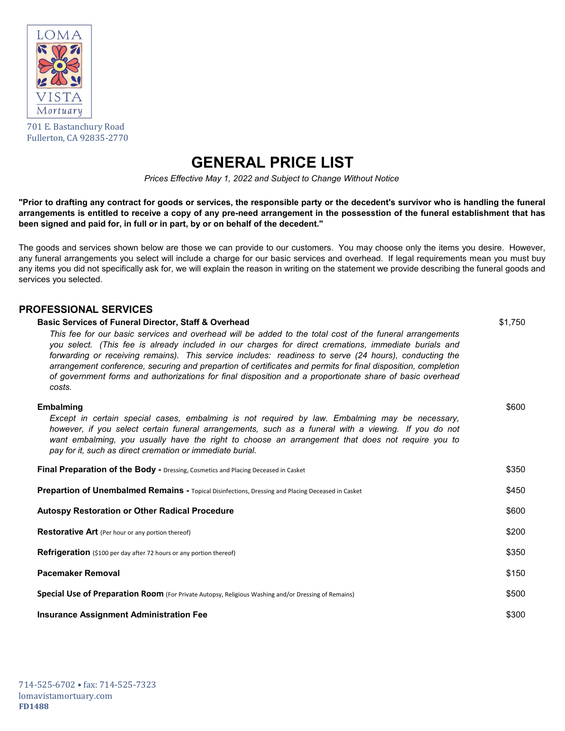

701 E. Bastanchury Road Fullerton, CA 92835-2770

## **GENERAL PRICE LIST**

*Prices Effective May 1, 2022 and Subject to Change Without Notice*

**"Prior to drafting any contract for goods or services, the responsible party or the decedent's survivor who is handling the funeral arrangements is entitled to receive a copy of any pre-need arrangement in the possesstion of the funeral establishment that has been signed and paid for, in full or in part, by or on behalf of the decedent."**

The goods and services shown below are those we can provide to our customers. You may choose only the items you desire. However, any funeral arrangements you select will include a charge for our basic services and overhead. If legal requirements mean you must buy any items you did not specifically ask for, we will explain the reason in writing on the statement we provide describing the funeral goods and services you selected.

## **PROFESSIONAL SERVICES**

| <b>Basic Services of Funeral Director, Staff &amp; Overhead</b>                                                                                                                                                                                                                                                                                                                                                                                                                                                                                                    | \$1,750 |
|--------------------------------------------------------------------------------------------------------------------------------------------------------------------------------------------------------------------------------------------------------------------------------------------------------------------------------------------------------------------------------------------------------------------------------------------------------------------------------------------------------------------------------------------------------------------|---------|
| This fee for our basic services and overhead will be added to the total cost of the funeral arrangements<br>you select. (This fee is already included in our charges for direct cremations, immediate burials and<br>forwarding or receiving remains). This service includes: readiness to serve (24 hours), conducting the<br>arrangement conference, securing and prepartion of certificates and permits for final disposition, completion<br>of government forms and authorizations for final disposition and a proportionate share of basic overhead<br>costs. |         |
| <b>Embalming</b><br>Except in certain special cases, embalming is not required by law. Embalming may be necessary,<br>however, if you select certain funeral arrangements, such as a funeral with a viewing. If you do not<br>want embalming, you usually have the right to choose an arrangement that does not require you to<br>pay for it, such as direct cremation or immediate burial.                                                                                                                                                                        | \$600   |
| <b>Final Preparation of the Body - Dressing, Cosmetics and Placing Deceased in Casket</b>                                                                                                                                                                                                                                                                                                                                                                                                                                                                          | \$350   |
| <b>Prepartion of Unembalmed Remains - Topical Disinfections, Dressing and Placing Deceased in Casket</b>                                                                                                                                                                                                                                                                                                                                                                                                                                                           | \$450   |
| <b>Autospy Restoration or Other Radical Procedure</b>                                                                                                                                                                                                                                                                                                                                                                                                                                                                                                              | \$600   |
| <b>Restorative Art</b> (Per hour or any portion thereof)                                                                                                                                                                                                                                                                                                                                                                                                                                                                                                           | \$200   |
| <b>Refrigeration</b> (\$100 per day after 72 hours or any portion thereof)                                                                                                                                                                                                                                                                                                                                                                                                                                                                                         | \$350   |
| <b>Pacemaker Removal</b>                                                                                                                                                                                                                                                                                                                                                                                                                                                                                                                                           | \$150   |
| Special Use of Preparation Room (For Private Autopsy, Religious Washing and/or Dressing of Remains)                                                                                                                                                                                                                                                                                                                                                                                                                                                                | \$500   |
| <b>Insurance Assignment Administration Fee</b>                                                                                                                                                                                                                                                                                                                                                                                                                                                                                                                     | \$300   |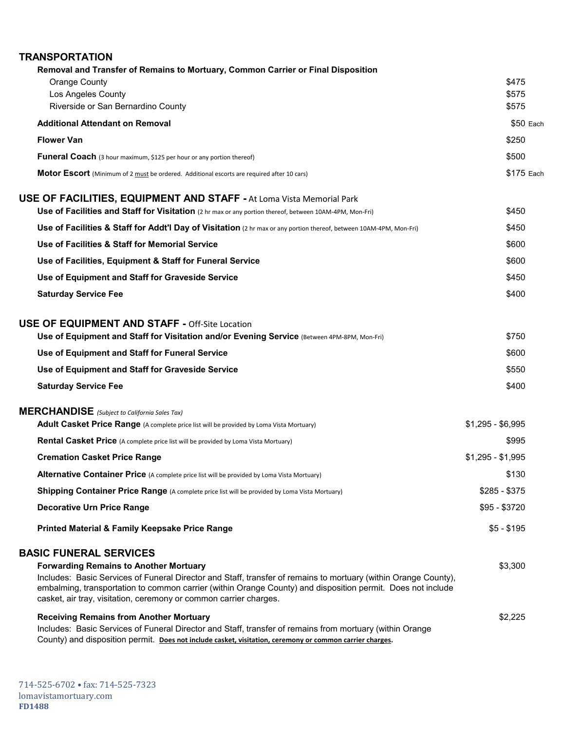| <b>TRANSPORTATION</b>                                                                                                                                                                                                                                                                                                                                                                 |                         |
|---------------------------------------------------------------------------------------------------------------------------------------------------------------------------------------------------------------------------------------------------------------------------------------------------------------------------------------------------------------------------------------|-------------------------|
| Removal and Transfer of Remains to Mortuary, Common Carrier or Final Disposition<br><b>Orange County</b><br>Los Angeles County<br>Riverside or San Bernardino County                                                                                                                                                                                                                  | \$475<br>\$575<br>\$575 |
| <b>Additional Attendant on Removal</b>                                                                                                                                                                                                                                                                                                                                                | $$50$ Each              |
| <b>Flower Van</b>                                                                                                                                                                                                                                                                                                                                                                     | \$250                   |
| <b>Funeral Coach</b> (3 hour maximum, \$125 per hour or any portion thereof)                                                                                                                                                                                                                                                                                                          | \$500                   |
| Motor Escort (Minimum of 2 must be ordered. Additional escorts are required after 10 cars)                                                                                                                                                                                                                                                                                            | \$175 Each              |
| <b>USE OF FACILITIES, EQUIPMENT AND STAFF - At Loma Vista Memorial Park</b><br>Use of Facilities and Staff for Visitation (2 hr max or any portion thereof, between 10AM-4PM, Mon-Fri)                                                                                                                                                                                                | \$450                   |
|                                                                                                                                                                                                                                                                                                                                                                                       | \$450                   |
| Use of Facilities & Staff for Addt'l Day of Visitation (2 hr max or any portion thereof, between 10AM-4PM, Mon-Fri)<br>Use of Facilities & Staff for Memorial Service                                                                                                                                                                                                                 |                         |
|                                                                                                                                                                                                                                                                                                                                                                                       | \$600                   |
| Use of Facilities, Equipment & Staff for Funeral Service                                                                                                                                                                                                                                                                                                                              | \$600                   |
| Use of Equipment and Staff for Graveside Service                                                                                                                                                                                                                                                                                                                                      | \$450                   |
| <b>Saturday Service Fee</b>                                                                                                                                                                                                                                                                                                                                                           | \$400                   |
| <b>USE OF EQUIPMENT AND STAFF - Off-Site Location</b><br>Use of Equipment and Staff for Visitation and/or Evening Service (Between 4PM-8PM, Mon-Fri)                                                                                                                                                                                                                                  | \$750                   |
| Use of Equipment and Staff for Funeral Service                                                                                                                                                                                                                                                                                                                                        | \$600                   |
| Use of Equipment and Staff for Graveside Service                                                                                                                                                                                                                                                                                                                                      | \$550                   |
| <b>Saturday Service Fee</b>                                                                                                                                                                                                                                                                                                                                                           | \$400                   |
| <b>MERCHANDISE</b> (Subject to California Sales Tax)<br>Adult Casket Price Range (A complete price list will be provided by Loma Vista Mortuary)                                                                                                                                                                                                                                      | $$1,295 - $6,995$       |
| <b>Rental Casket Price</b> (A complete price list will be provided by Loma Vista Mortuary)                                                                                                                                                                                                                                                                                            | \$995                   |
| <b>Cremation Casket Price Range</b>                                                                                                                                                                                                                                                                                                                                                   | $$1,295 - $1,995$       |
| <b>Alternative Container Price</b> (A complete price list will be provided by Loma Vista Mortuary)                                                                                                                                                                                                                                                                                    | \$130                   |
| Shipping Container Price Range (A complete price list will be provided by Loma Vista Mortuary)                                                                                                                                                                                                                                                                                        | $$285 - $375$           |
| <b>Decorative Urn Price Range</b>                                                                                                                                                                                                                                                                                                                                                     | \$95 - \$3720           |
| <b>Printed Material &amp; Family Keepsake Price Range</b>                                                                                                                                                                                                                                                                                                                             | $$5 - $195$             |
| <b>BASIC FUNERAL SERVICES</b><br><b>Forwarding Remains to Another Mortuary</b><br>Includes: Basic Services of Funeral Director and Staff, transfer of remains to mortuary (within Orange County),<br>embalming, transportation to common carrier (within Orange County) and disposition permit. Does not include<br>casket, air tray, visitation, ceremony or common carrier charges. | \$3,300                 |
| <b>Receiving Remains from Another Mortuary</b><br>Includes: Basic Services of Funeral Director and Staff, transfer of remains from mortuary (within Orange<br>County) and disposition permit. Does not include casket, visitation, ceremony or common carrier charges.                                                                                                                | \$2,225                 |